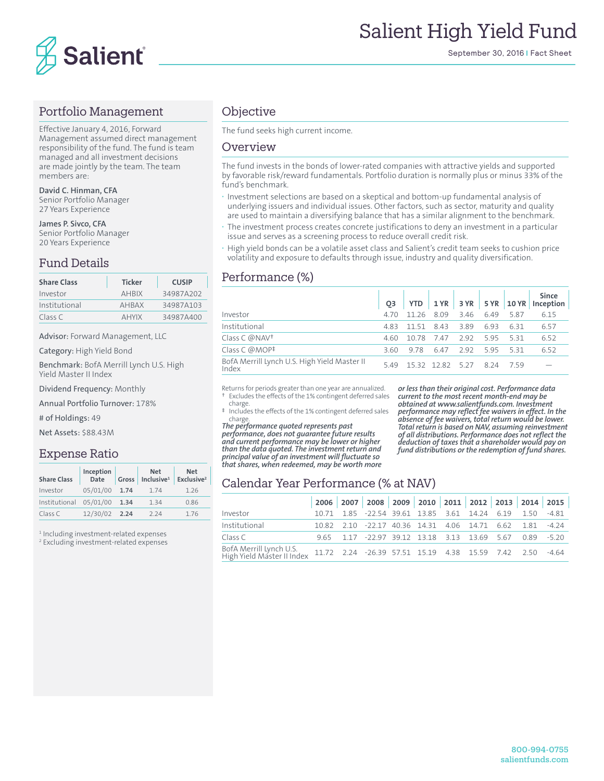

#### Portfolio Management

Effective January 4, 2016, Forward Management assumed direct management responsibility of the fund. The fund is team managed and all investment decisions are made jointly by the team. The team members are:

**David C. Hinman, CFA** Senior Portfolio Manager 27 Years Experience

**James P. Sivco, CFA** Senior Portfolio Manager 20 Years Experience

# Fund Details

| <b>Share Class</b> | <b>Ticker</b> | <b>CUSIP</b> |
|--------------------|---------------|--------------|
| Investor           | <b>AHRIX</b>  | 34987A202    |
| Institutional      | <b>AHRAX</b>  | 34987A103    |
| Class C            | <b>AHYIX</b>  | 34987A400    |

Advisor: Forward Management, LLC

Category: High Yield Bond

Benchmark: BofA Merrill Lynch U.S. High Yield Master II Index

Dividend Frequency: Monthly

Annual Portfolio Turnover: 178%

# of Holdings: 49

Net Assets: \$88.43M

#### Expense Ratio

| <b>Share Class</b> | Inception<br>Date | Gross | <b>Net</b><br>Inclusive <sup>1</sup> | <b>Net</b><br>Exclusive <sup>2</sup> |
|--------------------|-------------------|-------|--------------------------------------|--------------------------------------|
| Investor           | 05/01/00          | 1.74  | 1.74                                 | 1 26                                 |
| Institutional      | 05/01/00          | 1.34  | 1.34                                 | 0.86                                 |
| Class C            | 12/30/02 2.24     |       | 224                                  | 176                                  |

1 Including investment-related expenses

2 Excluding investment-related expenses

#### **Objective**

The fund seeks high current income.

#### Overview

The fund invests in the bonds of lower-rated companies with attractive yields and supported by favorable risk/reward fundamentals. Portfolio duration is normally plus or minus 33% of the fund's benchmark.

- **·** Investment selections are based on a skeptical and bottom-up fundamental analysis of underlying issuers and individual issues. Other factors, such as sector, maturity and quality are used to maintain a diversifying balance that has a similar alignment to the benchmark.
- **·** The investment process creates concrete justifications to deny an investment in a particular issue and serves as a screening process to reduce overall credit risk.
- **·** High yield bonds can be a volatile asset class and Salient's credit team seeks to cushion price volatility and exposure to defaults through issue, industry and quality diversification.

#### Performance (%)

|                                                       | O <sub>3</sub> |            |               |      |         |       | Since<br>YTD 1 YR 3 YR 5 YR 10 YR Inception |
|-------------------------------------------------------|----------------|------------|---------------|------|---------|-------|---------------------------------------------|
| Investor                                              | 4.70           | 11 26 8 09 |               | 3.46 | 649     | 587   | 6.15                                        |
| Institutional                                         | 483            | 11.51 8.43 |               | 3.89 | 6.93    | 631   | 6.57                                        |
| Class C @NAV <sup>+</sup>                             | 4.60           | 10.78      | 747           | 292  | 595     | -5.31 | 6.52                                        |
| Class C $@MOP^{\ddagger}$                             | 3.60           | 978        | 647           | 292  | 595 531 |       | 6.52                                        |
| BofA Merrill Lynch U.S. High Yield Master II<br>Index | 549            |            | 1532 1282 527 |      | 8 2 4   | 759   |                                             |

Returns for periods greater than one year are annualized. Excludes the effects of the 1% contingent deferred sales

 charge. ‡ Includes the effects of the 1% contingent deferred sales charge.

*The performance quoted represents past performance, does not guarantee future results and current performance may be lower or higher than the data quoted. The investment return and principal value of an investment will fluctuate so that shares, when redeemed, may be worth more* 

*or less than their original cost. Performance data current to the most recent month-end may be obtained at www.salientfunds.com. Investment performance may reflect fee waivers in effect. In the absence of fee waivers, total return would be lower. Total return is based on NAV, assuming reinvestment of all distributions. Performance does not reflect the deduction of taxes that a shareholder would pay on fund distributions or the redemption of fund shares.*

## Calendar Year Performance (% at NAV)

|                                                                                                                      |  |                                                                   |  |  |  | 2006 2007 2008 2009 2010 2011 2012 2013 2014 2015 |
|----------------------------------------------------------------------------------------------------------------------|--|-------------------------------------------------------------------|--|--|--|---------------------------------------------------|
| Investor                                                                                                             |  | 10.71  1.85  -22.54  39.61  13.85  3.61  14.24  6.19  1.50  -4.81 |  |  |  |                                                   |
| Institutional                                                                                                        |  | 10.82  2.10  -22.17  40.36  14.31  4.06  14.71  6.62  1.81  -4.24 |  |  |  |                                                   |
| Class C                                                                                                              |  | 9.65 1.17 -22.97 39.12 13.18 3.13 13.69 5.67 0.89 -5.20           |  |  |  |                                                   |
| BofA Merrill Lynch U.S.<br>High Yield Master II Index 11.72  2.24 -26.39 57.51 15.19  4.38  15.59  7.42  2.50  -4.64 |  |                                                                   |  |  |  |                                                   |